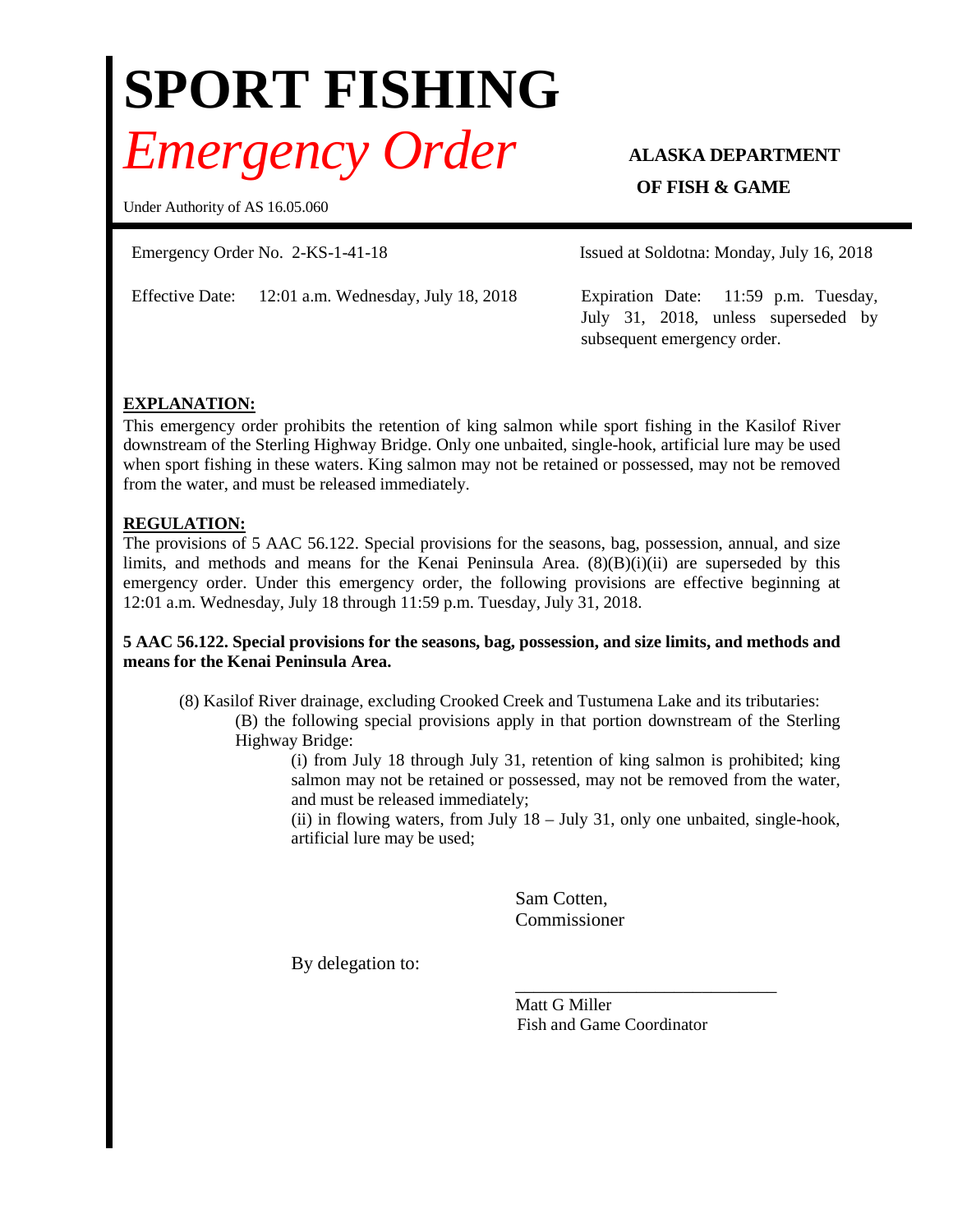# **SPORT FISHING** *Emergency Order* **ALASKA DEPARTMENT**

## Under Authority of AS 16.05.060

Effective Date: 12:01 a.m. Wednesday, July 18, 2018 Expiration Date: 11:59 p.m. Tuesday,

**OF FISH & GAME** 

Emergency Order No. 2-KS-1-41-18 Issued at Soldotna: Monday, July 16, 2018

July 31, 2018, unless superseded by subsequent emergency order.

## **EXPLANATION:**

This emergency order prohibits the retention of king salmon while sport fishing in the Kasilof River downstream of the Sterling Highway Bridge. Only one unbaited, single-hook, artificial lure may be used when sport fishing in these waters. King salmon may not be retained or possessed, may not be removed from the water, and must be released immediately.

### **REGULATION:**

The provisions of 5 AAC 56.122. Special provisions for the seasons, bag, possession, annual, and size limits, and methods and means for the Kenai Peninsula Area.  $(8)(B)(i)(ii)$  are superseded by this emergency order. Under this emergency order, the following provisions are effective beginning at 12:01 a.m. Wednesday, July 18 through 11:59 p.m. Tuesday, July 31, 2018.

#### **5 AAC 56.122. Special provisions for the seasons, bag, possession, and size limits, and methods and means for the Kenai Peninsula Area.**

(8) Kasilof River drainage, excluding Crooked Creek and Tustumena Lake and its tributaries: (B) the following special provisions apply in that portion downstream of the Sterling Highway Bridge:

> (i) from July 18 through July 31, retention of king salmon is prohibited; king salmon may not be retained or possessed, may not be removed from the water, and must be released immediately;

> (ii) in flowing waters, from July 18 – July 31, only one unbaited, single-hook, artificial lure may be used;

> > Sam Cotten, Commissioner

By delegation to:

\_\_\_\_\_\_\_\_\_\_\_\_\_\_\_\_\_\_\_\_\_\_\_\_\_\_\_\_ Matt G Miller Fish and Game Coordinator